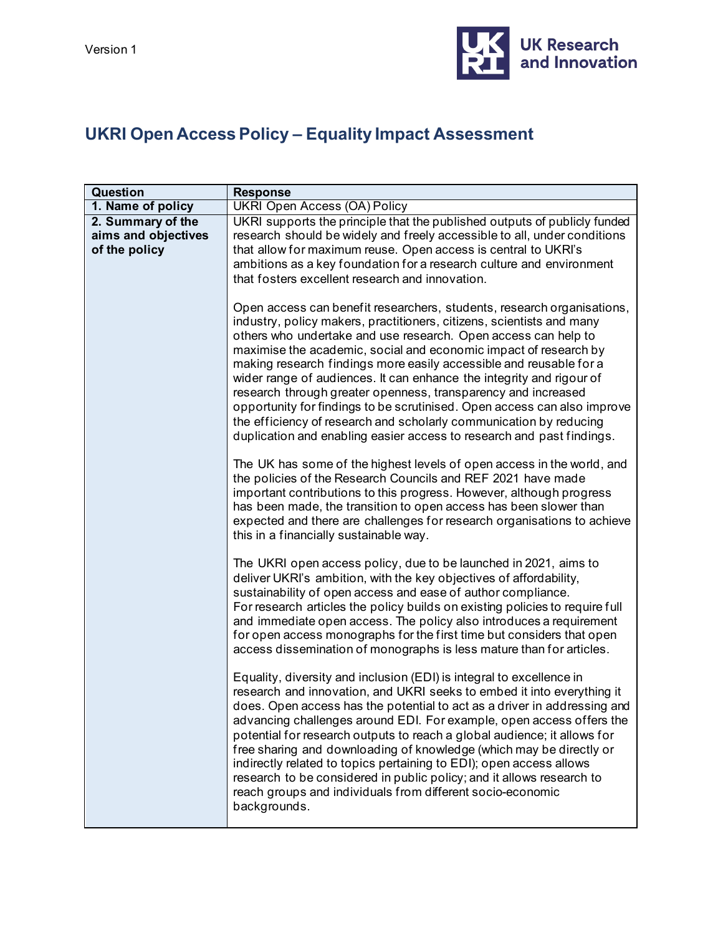

## **UKRI Open Access Policy – Equality Impact Assessment**

| Question            | <b>Response</b>                                                                                                                                                                                                                                                                                                                                                                                                                                                                                                                                                                                                                                                                                                                                                                                                                                                                                                                                                                                                                                                                                                                                                                                       |
|---------------------|-------------------------------------------------------------------------------------------------------------------------------------------------------------------------------------------------------------------------------------------------------------------------------------------------------------------------------------------------------------------------------------------------------------------------------------------------------------------------------------------------------------------------------------------------------------------------------------------------------------------------------------------------------------------------------------------------------------------------------------------------------------------------------------------------------------------------------------------------------------------------------------------------------------------------------------------------------------------------------------------------------------------------------------------------------------------------------------------------------------------------------------------------------------------------------------------------------|
| 1. Name of policy   | <b>UKRI Open Access (OA) Policy</b>                                                                                                                                                                                                                                                                                                                                                                                                                                                                                                                                                                                                                                                                                                                                                                                                                                                                                                                                                                                                                                                                                                                                                                   |
| 2. Summary of the   | UKRI supports the principle that the published outputs of publicly funded                                                                                                                                                                                                                                                                                                                                                                                                                                                                                                                                                                                                                                                                                                                                                                                                                                                                                                                                                                                                                                                                                                                             |
| aims and objectives | research should be widely and freely accessible to all, under conditions                                                                                                                                                                                                                                                                                                                                                                                                                                                                                                                                                                                                                                                                                                                                                                                                                                                                                                                                                                                                                                                                                                                              |
| of the policy       | that allow for maximum reuse. Open access is central to UKRI's                                                                                                                                                                                                                                                                                                                                                                                                                                                                                                                                                                                                                                                                                                                                                                                                                                                                                                                                                                                                                                                                                                                                        |
|                     | ambitions as a key foundation for a research culture and environment                                                                                                                                                                                                                                                                                                                                                                                                                                                                                                                                                                                                                                                                                                                                                                                                                                                                                                                                                                                                                                                                                                                                  |
|                     | that fosters excellent research and innovation.                                                                                                                                                                                                                                                                                                                                                                                                                                                                                                                                                                                                                                                                                                                                                                                                                                                                                                                                                                                                                                                                                                                                                       |
|                     | Open access can benefit researchers, students, research organisations,<br>industry, policy makers, practitioners, citizens, scientists and many<br>others who undertake and use research. Open access can help to<br>maximise the academic, social and economic impact of research by<br>making research findings more easily accessible and reusable for a<br>wider range of audiences. It can enhance the integrity and rigour of<br>research through greater openness, transparency and increased<br>opportunity for findings to be scrutinised. Open access can also improve<br>the efficiency of research and scholarly communication by reducing<br>duplication and enabling easier access to research and past findings.<br>The UK has some of the highest levels of open access in the world, and<br>the policies of the Research Councils and REF 2021 have made<br>important contributions to this progress. However, although progress<br>has been made, the transition to open access has been slower than<br>expected and there are challenges for research organisations to achieve<br>this in a financially sustainable way.                                                           |
|                     | The UKRI open access policy, due to be launched in 2021, aims to<br>deliver UKRI's ambition, with the key objectives of affordability,<br>sustainability of open access and ease of author compliance.<br>For research articles the policy builds on existing policies to require full<br>and immediate open access. The policy also introduces a requirement<br>for open access monographs for the first time but considers that open<br>access dissemination of monographs is less mature than for articles.<br>Equality, diversity and inclusion (EDI) is integral to excellence in<br>research and innovation, and UKRI seeks to embed it into everything it<br>does. Open access has the potential to act as a driver in addressing and<br>advancing challenges around EDI. For example, open access offers the<br>potential for research outputs to reach a global audience; it allows for<br>free sharing and downloading of knowledge (which may be directly or<br>indirectly related to topics pertaining to EDI); open access allows<br>research to be considered in public policy; and it allows research to<br>reach groups and individuals from different socio-economic<br>backgrounds. |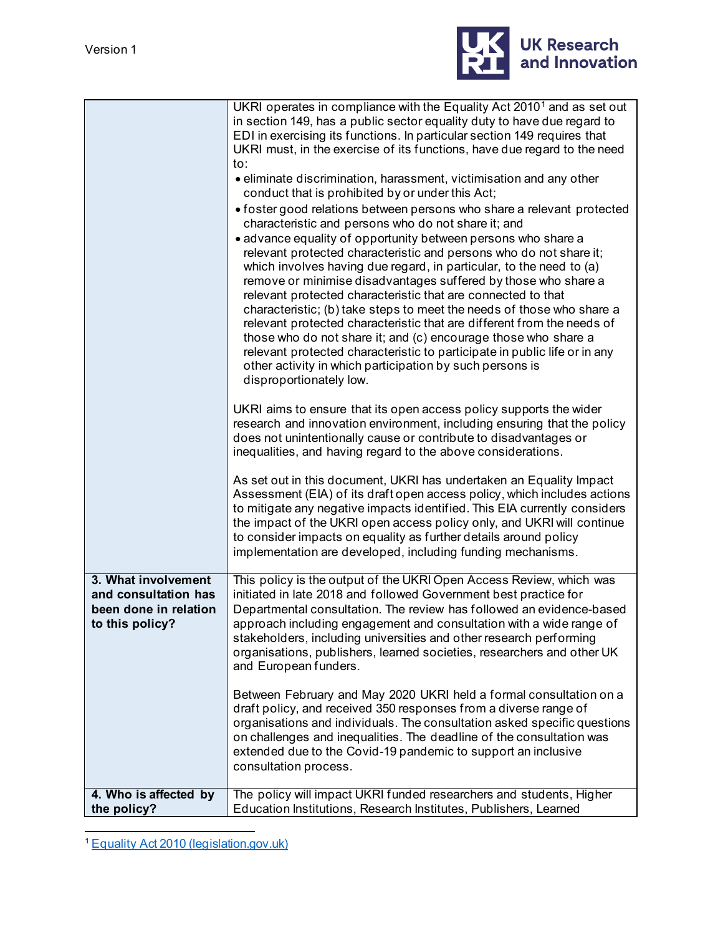

|                                                                                         | UKRI operates in compliance with the Equality Act 2010 <sup>1</sup> and as set out<br>in section 149, has a public sector equality duty to have due regard to                                                                                                                                                                                                                                                                                                                                                                                                                                                                                                                                                                         |
|-----------------------------------------------------------------------------------------|---------------------------------------------------------------------------------------------------------------------------------------------------------------------------------------------------------------------------------------------------------------------------------------------------------------------------------------------------------------------------------------------------------------------------------------------------------------------------------------------------------------------------------------------------------------------------------------------------------------------------------------------------------------------------------------------------------------------------------------|
|                                                                                         | EDI in exercising its functions. In particular section 149 requires that<br>UKRI must, in the exercise of its functions, have due regard to the need<br>to:                                                                                                                                                                                                                                                                                                                                                                                                                                                                                                                                                                           |
|                                                                                         | • eliminate discrimination, harassment, victimisation and any other<br>conduct that is prohibited by or under this Act;                                                                                                                                                                                                                                                                                                                                                                                                                                                                                                                                                                                                               |
|                                                                                         | • foster good relations between persons who share a relevant protected<br>characteristic and persons who do not share it; and                                                                                                                                                                                                                                                                                                                                                                                                                                                                                                                                                                                                         |
|                                                                                         | • advance equality of opportunity between persons who share a<br>relevant protected characteristic and persons who do not share it;<br>which involves having due regard, in particular, to the need to (a)<br>remove or minimise disadvantages suffered by those who share a<br>relevant protected characteristic that are connected to that<br>characteristic; (b) take steps to meet the needs of those who share a<br>relevant protected characteristic that are different from the needs of<br>those who do not share it; and (c) encourage those who share a<br>relevant protected characteristic to participate in public life or in any<br>other activity in which participation by such persons is<br>disproportionately low. |
|                                                                                         | UKRI aims to ensure that its open access policy supports the wider<br>research and innovation environment, including ensuring that the policy<br>does not unintentionally cause or contribute to disadvantages or<br>inequalities, and having regard to the above considerations.                                                                                                                                                                                                                                                                                                                                                                                                                                                     |
|                                                                                         | As set out in this document, UKRI has undertaken an Equality Impact<br>Assessment (EIA) of its draft open access policy, which includes actions<br>to mitigate any negative impacts identified. This EIA currently considers<br>the impact of the UKRI open access policy only, and UKRI will continue<br>to consider impacts on equality as further details around policy<br>implementation are developed, including funding mechanisms.                                                                                                                                                                                                                                                                                             |
| 3. What involvement<br>and consultation has<br>been done in relation<br>to this policy? | This policy is the output of the UKRI Open Access Review, which was<br>initiated in late 2018 and followed Government best practice for<br>Departmental consultation. The review has followed an evidence-based<br>approach including engagement and consultation with a wide range of<br>stakeholders, including universities and other research performing<br>organisations, publishers, learned societies, researchers and other UK<br>and European funders.                                                                                                                                                                                                                                                                       |
|                                                                                         | Between February and May 2020 UKRI held a formal consultation on a<br>draft policy, and received 350 responses from a diverse range of<br>organisations and individuals. The consultation asked specific questions<br>on challenges and inequalities. The deadline of the consultation was<br>extended due to the Covid-19 pandemic to support an inclusive<br>consultation process.                                                                                                                                                                                                                                                                                                                                                  |
| 4. Who is affected by<br>the policy?                                                    | The policy will impact UKRI funded researchers and students, Higher<br>Education Institutions, Research Institutes, Publishers, Learned                                                                                                                                                                                                                                                                                                                                                                                                                                                                                                                                                                                               |

<span id="page-1-0"></span><sup>1</sup> [Equality Act 2010 \(legislation.gov.uk\)](https://www.legislation.gov.uk/ukpga/2010/15/introduction)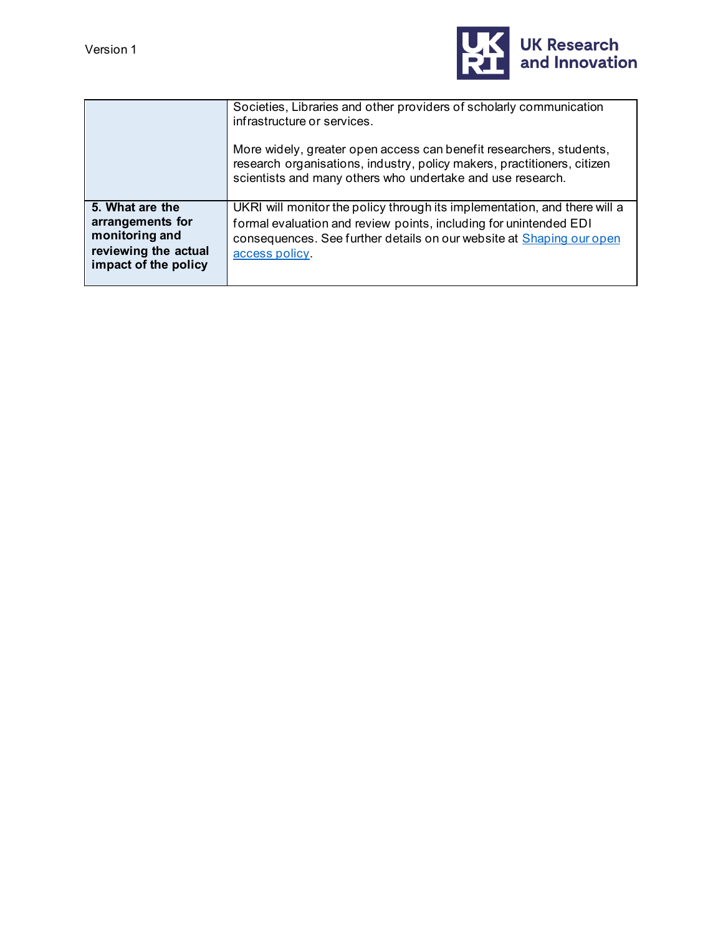

| Societies, Libraries and other providers of scholarly communication<br>infrastructure or services.                                                                                                                                       |
|------------------------------------------------------------------------------------------------------------------------------------------------------------------------------------------------------------------------------------------|
| More widely, greater open access can benefit researchers, students,<br>research organisations, industry, policy makers, practitioners, citizen<br>scientists and many others who undertake and use research.                             |
| UKRI will monitor the policy through its implementation, and there will a<br>formal evaluation and review points, including for unintended EDI<br>consequences. See further details on our website at Shaping our open<br>access policy. |
|                                                                                                                                                                                                                                          |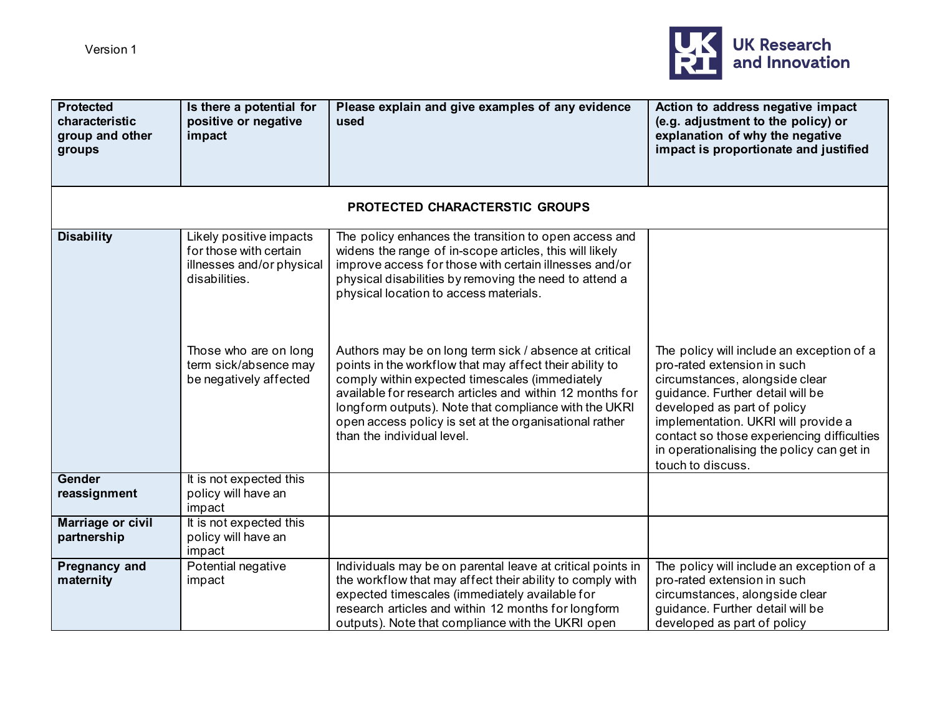

| <b>Protected</b><br>characteristic<br>group and other<br>groups | Is there a potential for<br>positive or negative<br>impact                                      | Please explain and give examples of any evidence<br>used                                                                                                                                                                                                                                                                                                                         | Action to address negative impact<br>(e.g. adjustment to the policy) or<br>explanation of why the negative<br>impact is proportionate and justified                                                                                                                                                                                  |
|-----------------------------------------------------------------|-------------------------------------------------------------------------------------------------|----------------------------------------------------------------------------------------------------------------------------------------------------------------------------------------------------------------------------------------------------------------------------------------------------------------------------------------------------------------------------------|--------------------------------------------------------------------------------------------------------------------------------------------------------------------------------------------------------------------------------------------------------------------------------------------------------------------------------------|
|                                                                 |                                                                                                 |                                                                                                                                                                                                                                                                                                                                                                                  |                                                                                                                                                                                                                                                                                                                                      |
|                                                                 |                                                                                                 | PROTECTED CHARACTERSTIC GROUPS                                                                                                                                                                                                                                                                                                                                                   |                                                                                                                                                                                                                                                                                                                                      |
| <b>Disability</b>                                               | Likely positive impacts<br>for those with certain<br>illnesses and/or physical<br>disabilities. | The policy enhances the transition to open access and<br>widens the range of in-scope articles, this will likely<br>improve access for those with certain illnesses and/or<br>physical disabilities by removing the need to attend a<br>physical location to access materials.                                                                                                   |                                                                                                                                                                                                                                                                                                                                      |
|                                                                 | Those who are on long<br>term sick/absence may<br>be negatively affected                        | Authors may be on long term sick / absence at critical<br>points in the workflow that may affect their ability to<br>comply within expected timescales (immediately<br>available for research articles and within 12 months for<br>longform outputs). Note that compliance with the UKRI<br>open access policy is set at the organisational rather<br>than the individual level. | The policy will include an exception of a<br>pro-rated extension in such<br>circumstances, alongside clear<br>guidance. Further detail will be<br>developed as part of policy<br>implementation. UKRI will provide a<br>contact so those experiencing difficulties<br>in operationalising the policy can get in<br>touch to discuss. |
| Gender<br>reassignment                                          | It is not expected this<br>policy will have an<br>impact                                        |                                                                                                                                                                                                                                                                                                                                                                                  |                                                                                                                                                                                                                                                                                                                                      |
| <b>Marriage or civil</b><br>partnership                         | It is not expected this<br>policy will have an<br>impact                                        |                                                                                                                                                                                                                                                                                                                                                                                  |                                                                                                                                                                                                                                                                                                                                      |
| <b>Pregnancy and</b><br>maternity                               | Potential negative<br>impact                                                                    | Individuals may be on parental leave at critical points in<br>the workflow that may affect their ability to comply with<br>expected timescales (immediately available for<br>research articles and within 12 months for longform<br>outputs). Note that compliance with the UKRI open                                                                                            | The policy will include an exception of a<br>pro-rated extension in such<br>circumstances, alongside clear<br>guidance. Further detail will be<br>developed as part of policy                                                                                                                                                        |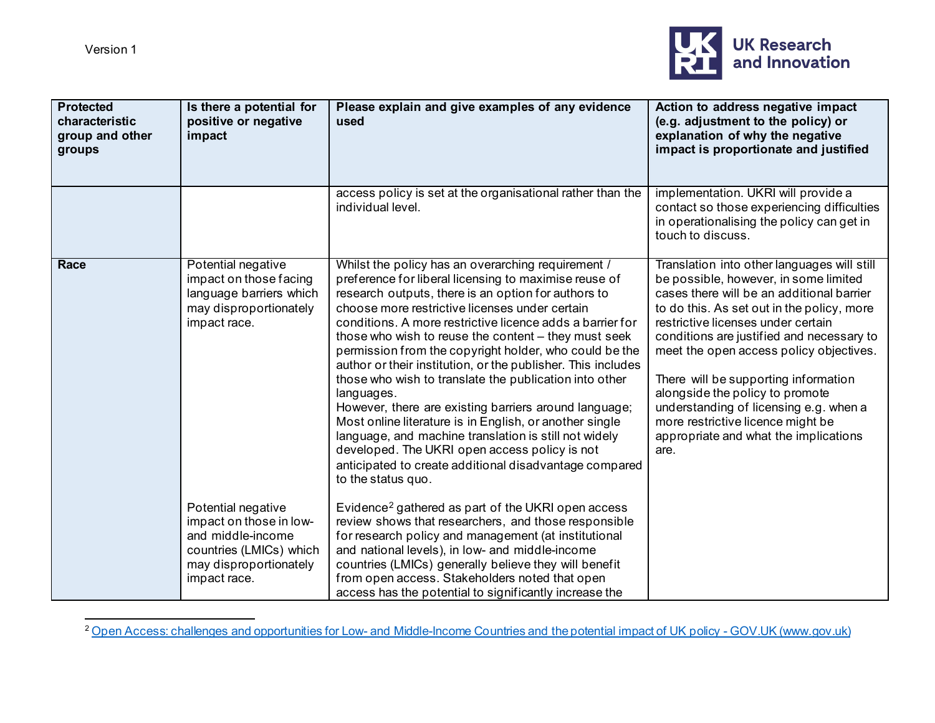<span id="page-4-0"></span>

| <b>Protected</b><br>characteristic<br>group and other<br>groups | Is there a potential for<br>positive or negative<br>impact                                                                              | Please explain and give examples of any evidence<br>used                                                                                                                                                                                                                                                                                                                                                                                                                                                                                                                                                                                                                                                                                                                                                                                                  | Action to address negative impact<br>(e.g. adjustment to the policy) or<br>explanation of why the negative<br>impact is proportionate and justified                                                                                                                                                                                                                                                                                                                                                                      |
|-----------------------------------------------------------------|-----------------------------------------------------------------------------------------------------------------------------------------|-----------------------------------------------------------------------------------------------------------------------------------------------------------------------------------------------------------------------------------------------------------------------------------------------------------------------------------------------------------------------------------------------------------------------------------------------------------------------------------------------------------------------------------------------------------------------------------------------------------------------------------------------------------------------------------------------------------------------------------------------------------------------------------------------------------------------------------------------------------|--------------------------------------------------------------------------------------------------------------------------------------------------------------------------------------------------------------------------------------------------------------------------------------------------------------------------------------------------------------------------------------------------------------------------------------------------------------------------------------------------------------------------|
|                                                                 |                                                                                                                                         | access policy is set at the organisational rather than the<br>individual level.                                                                                                                                                                                                                                                                                                                                                                                                                                                                                                                                                                                                                                                                                                                                                                           | implementation. UKRI will provide a<br>contact so those experiencing difficulties<br>in operationalising the policy can get in<br>touch to discuss.                                                                                                                                                                                                                                                                                                                                                                      |
| Race                                                            | Potential negative<br>impact on those facing<br>language barriers which<br>may disproportionately<br>impact race.                       | Whilst the policy has an overarching requirement /<br>preference for liberal licensing to maximise reuse of<br>research outputs, there is an option for authors to<br>choose more restrictive licenses under certain<br>conditions. A more restrictive licence adds a barrier for<br>those who wish to reuse the content – they must seek<br>permission from the copyright holder, who could be the<br>author or their institution, or the publisher. This includes<br>those who wish to translate the publication into other<br>languages.<br>However, there are existing barriers around language;<br>Most online literature is in English, or another single<br>language, and machine translation is still not widely<br>developed. The UKRI open access policy is not<br>anticipated to create additional disadvantage compared<br>to the status quo. | Translation into other languages will still<br>be possible, however, in some limited<br>cases there will be an additional barrier<br>to do this. As set out in the policy, more<br>restrictive licenses under certain<br>conditions are justified and necessary to<br>meet the open access policy objectives.<br>There will be supporting information<br>alongside the policy to promote<br>understanding of licensing e.g. when a<br>more restrictive licence might be<br>appropriate and what the implications<br>are. |
|                                                                 | Potential negative<br>impact on those in low-<br>and middle-income<br>countries (LMICs) which<br>may disproportionately<br>impact race. | Evidence <sup>2</sup> gathered as part of the UKRI open access<br>review shows that researchers, and those responsible<br>for research policy and management (at institutional<br>and national levels), in low- and middle-income<br>countries (LMICs) generally believe they will benefit<br>from open access. Stakeholders noted that open<br>access has the potential to significantly increase the                                                                                                                                                                                                                                                                                                                                                                                                                                                    |                                                                                                                                                                                                                                                                                                                                                                                                                                                                                                                          |

<sup>&</sup>lt;sup>2</sup> Open Access: challenges and opportunities for Low- [and Middle-Income Countries and the potential impact of UK policy -](https://www.gov.uk/research-for-development-outputs/open-access-challenges-and-opportunities-for-low-and-middle-income-countries-and-the-potential-impact-of-uk-policy) GOV.UK (www.gov.uk)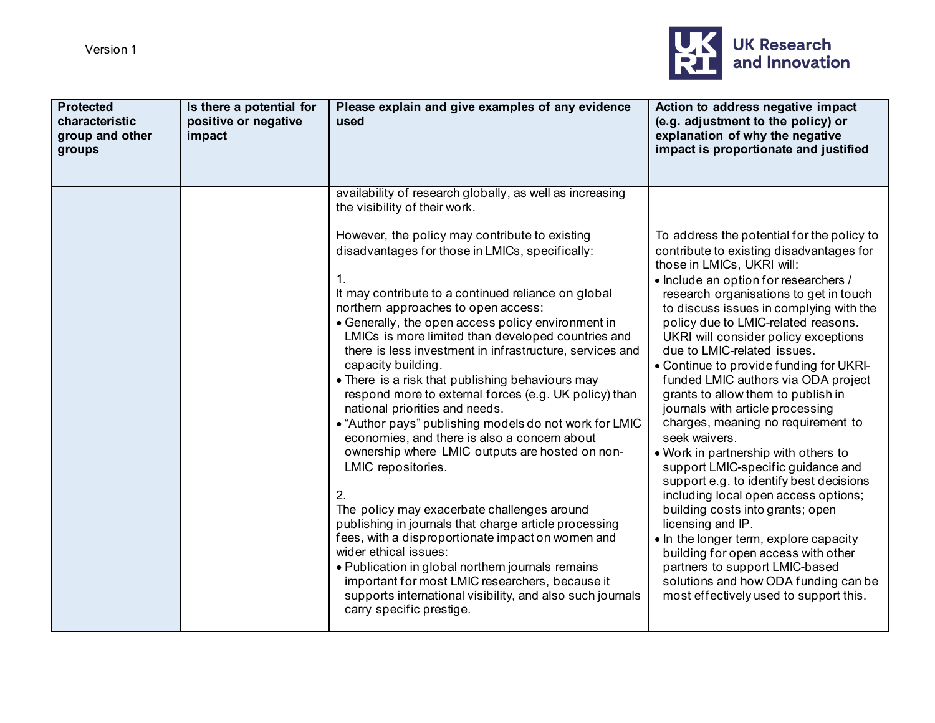

| <b>Protected</b><br>characteristic<br>group and other<br>groups | Is there a potential for<br>positive or negative<br>impact | Please explain and give examples of any evidence<br>used                                                                                                                                                                                                                                                                                                                                                                                                                                                                                                                                                                                                                                                                                                                                                                                                                                                                                                                                                                                                                                                                           | Action to address negative impact<br>(e.g. adjustment to the policy) or<br>explanation of why the negative<br>impact is proportionate and justified                                                                                                                                                                                                                                                                                                                                                                                                                                                                                                                                                                                                                                                                                                                                                                                                                                                                |
|-----------------------------------------------------------------|------------------------------------------------------------|------------------------------------------------------------------------------------------------------------------------------------------------------------------------------------------------------------------------------------------------------------------------------------------------------------------------------------------------------------------------------------------------------------------------------------------------------------------------------------------------------------------------------------------------------------------------------------------------------------------------------------------------------------------------------------------------------------------------------------------------------------------------------------------------------------------------------------------------------------------------------------------------------------------------------------------------------------------------------------------------------------------------------------------------------------------------------------------------------------------------------------|--------------------------------------------------------------------------------------------------------------------------------------------------------------------------------------------------------------------------------------------------------------------------------------------------------------------------------------------------------------------------------------------------------------------------------------------------------------------------------------------------------------------------------------------------------------------------------------------------------------------------------------------------------------------------------------------------------------------------------------------------------------------------------------------------------------------------------------------------------------------------------------------------------------------------------------------------------------------------------------------------------------------|
|                                                                 |                                                            | availability of research globally, as well as increasing<br>the visibility of their work.                                                                                                                                                                                                                                                                                                                                                                                                                                                                                                                                                                                                                                                                                                                                                                                                                                                                                                                                                                                                                                          |                                                                                                                                                                                                                                                                                                                                                                                                                                                                                                                                                                                                                                                                                                                                                                                                                                                                                                                                                                                                                    |
|                                                                 |                                                            | However, the policy may contribute to existing<br>disadvantages for those in LMICs, specifically:<br>1.<br>It may contribute to a continued reliance on global<br>northern approaches to open access:<br>• Generally, the open access policy environment in<br>LMICs is more limited than developed countries and<br>there is less investment in infrastructure, services and<br>capacity building.<br>• There is a risk that publishing behaviours may<br>respond more to external forces (e.g. UK policy) than<br>national priorities and needs.<br>• "Author pays" publishing models do not work for LMIC<br>economies, and there is also a concern about<br>ownership where LMIC outputs are hosted on non-<br>LMIC repositories.<br>2.<br>The policy may exacerbate challenges around<br>publishing in journals that charge article processing<br>fees, with a disproportionate impact on women and<br>wider ethical issues:<br>• Publication in global northern journals remains<br>important for most LMIC researchers, because it<br>supports international visibility, and also such journals<br>carry specific prestige. | To address the potential for the policy to<br>contribute to existing disadvantages for<br>those in LMICs, UKRI will:<br>• Include an option for researchers /<br>research organisations to get in touch<br>to discuss issues in complying with the<br>policy due to LMIC-related reasons.<br>UKRI will consider policy exceptions<br>due to LMIC-related issues.<br>• Continue to provide funding for UKRI-<br>funded LMIC authors via ODA project<br>grants to allow them to publish in<br>journals with article processing<br>charges, meaning no requirement to<br>seek waivers.<br>. Work in partnership with others to<br>support LMIC-specific guidance and<br>support e.g. to identify best decisions<br>including local open access options;<br>building costs into grants; open<br>licensing and IP.<br>. In the longer term, explore capacity<br>building for open access with other<br>partners to support LMIC-based<br>solutions and how ODA funding can be<br>most effectively used to support this. |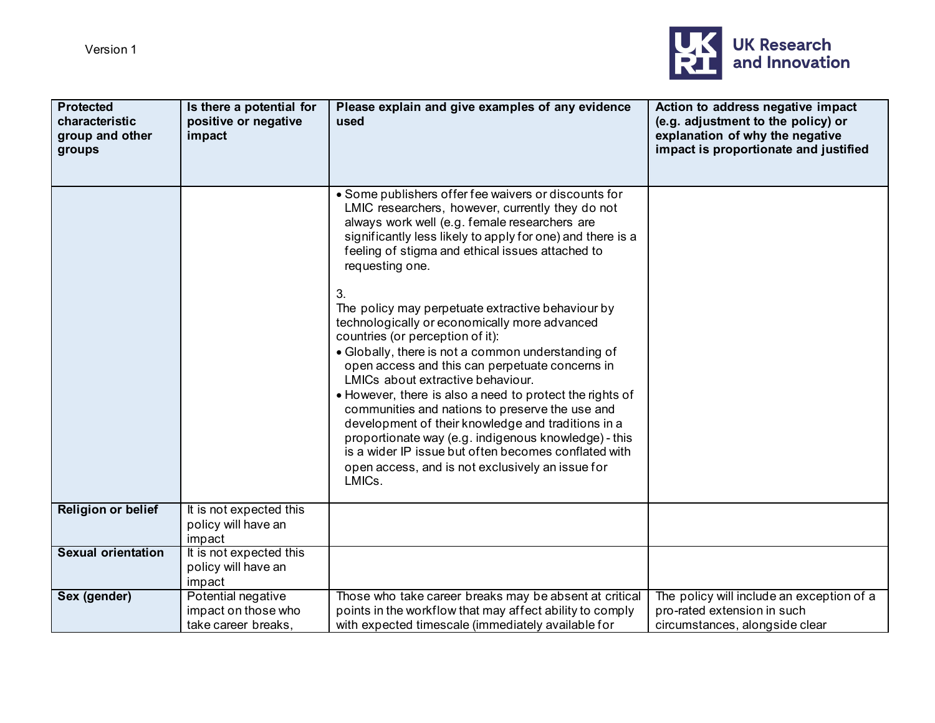

| <b>Protected</b><br>characteristic<br>group and other<br>groups | Is there a potential for<br>positive or negative<br>impact       | Please explain and give examples of any evidence<br>used                                                                                                                                                                                                                                                                                                                                                                                                                                                                                                                                                                                                                                                                                                                                                                                                                                                                                        | Action to address negative impact<br>(e.g. adjustment to the policy) or<br>explanation of why the negative<br>impact is proportionate and justified |
|-----------------------------------------------------------------|------------------------------------------------------------------|-------------------------------------------------------------------------------------------------------------------------------------------------------------------------------------------------------------------------------------------------------------------------------------------------------------------------------------------------------------------------------------------------------------------------------------------------------------------------------------------------------------------------------------------------------------------------------------------------------------------------------------------------------------------------------------------------------------------------------------------------------------------------------------------------------------------------------------------------------------------------------------------------------------------------------------------------|-----------------------------------------------------------------------------------------------------------------------------------------------------|
|                                                                 |                                                                  | • Some publishers offer fee waivers or discounts for<br>LMIC researchers, however, currently they do not<br>always work well (e.g. female researchers are<br>significantly less likely to apply for one) and there is a<br>feeling of stigma and ethical issues attached to<br>requesting one.<br>3.<br>The policy may perpetuate extractive behaviour by<br>technologically or economically more advanced<br>countries (or perception of it):<br>• Globally, there is not a common understanding of<br>open access and this can perpetuate concerns in<br>LMICs about extractive behaviour.<br>• However, there is also a need to protect the rights of<br>communities and nations to preserve the use and<br>development of their knowledge and traditions in a<br>proportionate way (e.g. indigenous knowledge) - this<br>is a wider IP issue but often becomes conflated with<br>open access, and is not exclusively an issue for<br>LMICs. |                                                                                                                                                     |
| <b>Religion or belief</b>                                       | It is not expected this<br>policy will have an<br>impact         |                                                                                                                                                                                                                                                                                                                                                                                                                                                                                                                                                                                                                                                                                                                                                                                                                                                                                                                                                 |                                                                                                                                                     |
| <b>Sexual orientation</b>                                       | It is not expected this<br>policy will have an<br>impact         |                                                                                                                                                                                                                                                                                                                                                                                                                                                                                                                                                                                                                                                                                                                                                                                                                                                                                                                                                 |                                                                                                                                                     |
| Sex (gender)                                                    | Potential negative<br>impact on those who<br>take career breaks. | Those who take career breaks may be absent at critical<br>points in the workflow that may affect ability to comply<br>with expected timescale (immediately available for                                                                                                                                                                                                                                                                                                                                                                                                                                                                                                                                                                                                                                                                                                                                                                        | The policy will include an exception of a<br>pro-rated extension in such<br>circumstances, alongside clear                                          |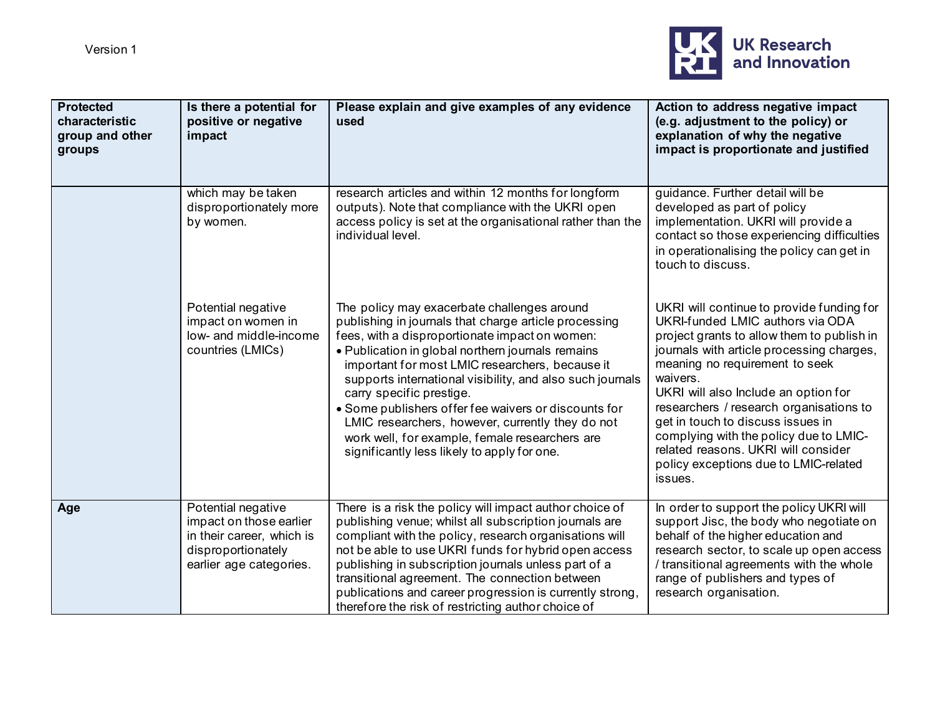

| <b>Protected</b><br>characteristic<br>group and other<br>groups | Is there a potential for<br>positive or negative<br>impact                                                                  | Please explain and give examples of any evidence<br>used                                                                                                                                                                                                                                                                                                                                                                                                                                                                                                             | Action to address negative impact<br>(e.g. adjustment to the policy) or<br>explanation of why the negative<br>impact is proportionate and justified                                                                                                                                                                                                                                                                                                                                 |
|-----------------------------------------------------------------|-----------------------------------------------------------------------------------------------------------------------------|----------------------------------------------------------------------------------------------------------------------------------------------------------------------------------------------------------------------------------------------------------------------------------------------------------------------------------------------------------------------------------------------------------------------------------------------------------------------------------------------------------------------------------------------------------------------|-------------------------------------------------------------------------------------------------------------------------------------------------------------------------------------------------------------------------------------------------------------------------------------------------------------------------------------------------------------------------------------------------------------------------------------------------------------------------------------|
|                                                                 | which may be taken<br>disproportionately more<br>by women.                                                                  | research articles and within 12 months for longform<br>outputs). Note that compliance with the UKRI open<br>access policy is set at the organisational rather than the<br>individual level.                                                                                                                                                                                                                                                                                                                                                                          | guidance. Further detail will be<br>developed as part of policy<br>implementation. UKRI will provide a<br>contact so those experiencing difficulties<br>in operationalising the policy can get in<br>touch to discuss.                                                                                                                                                                                                                                                              |
|                                                                 | Potential negative<br>impact on women in<br>low- and middle-income<br>countries (LMICs)                                     | The policy may exacerbate challenges around<br>publishing in journals that charge article processing<br>fees, with a disproportionate impact on women:<br>• Publication in global northern journals remains<br>important for most LMIC researchers, because it<br>supports international visibility, and also such journals<br>carry specific prestige.<br>• Some publishers offer fee waivers or discounts for<br>LMIC researchers, however, currently they do not<br>work well, for example, female researchers are<br>significantly less likely to apply for one. | UKRI will continue to provide funding for<br>UKRI-funded LMIC authors via ODA<br>project grants to allow them to publish in<br>journals with article processing charges,<br>meaning no requirement to seek<br>waivers.<br>UKRI will also Include an option for<br>researchers / research organisations to<br>get in touch to discuss issues in<br>complying with the policy due to LMIC-<br>related reasons. UKRI will consider<br>policy exceptions due to LMIC-related<br>issues. |
| Age                                                             | Potential negative<br>impact on those earlier<br>in their career, which is<br>disproportionately<br>earlier age categories. | There is a risk the policy will impact author choice of<br>publishing venue; whilst all subscription journals are<br>compliant with the policy, research organisations will<br>not be able to use UKRI funds for hybrid open access<br>publishing in subscription journals unless part of a<br>transitional agreement. The connection between<br>publications and career progression is currently strong,<br>therefore the risk of restricting author choice of                                                                                                      | In order to support the policy UKRI will<br>support Jisc, the body who negotiate on<br>behalf of the higher education and<br>research sector, to scale up open access<br>/ transitional agreements with the whole<br>range of publishers and types of<br>research organisation.                                                                                                                                                                                                     |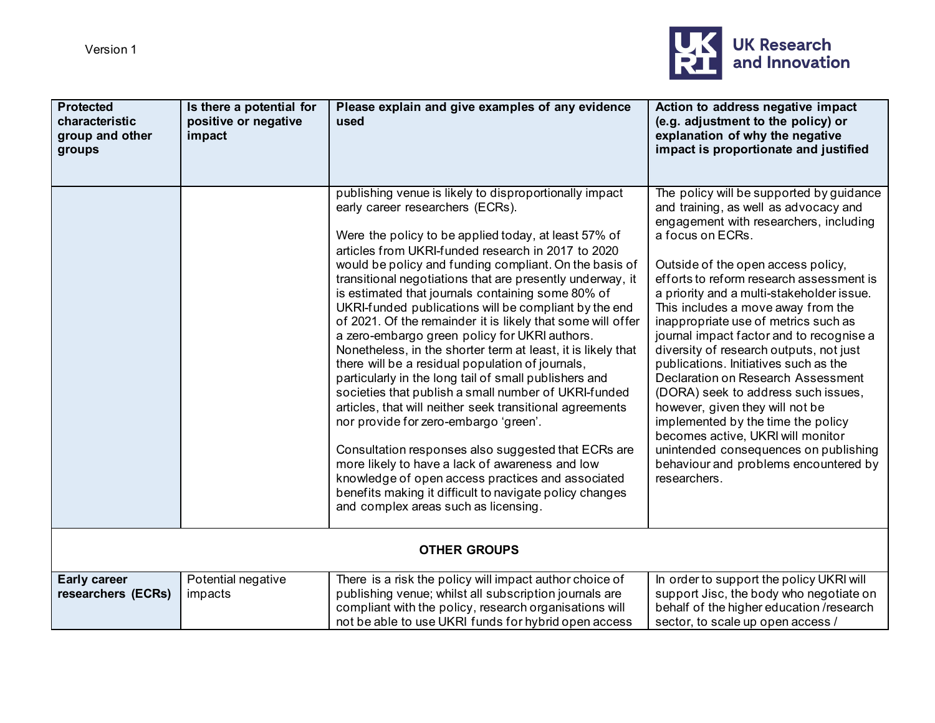

| <b>Protected</b><br>characteristic<br>group and other<br>groups | Is there a potential for<br>positive or negative<br>impact | Please explain and give examples of any evidence<br>used                                                                                                                                                                                                                                                                                                                                                                                                                                                                                                                                                                                                                                                                                                                                                                                                                                                                                                                                                                                                                                                                                                                  | Action to address negative impact<br>(e.g. adjustment to the policy) or<br>explanation of why the negative<br>impact is proportionate and justified                                                                                                                                                                                                                                                                                                                                                                                                                                                                                                                                                                                                                                       |
|-----------------------------------------------------------------|------------------------------------------------------------|---------------------------------------------------------------------------------------------------------------------------------------------------------------------------------------------------------------------------------------------------------------------------------------------------------------------------------------------------------------------------------------------------------------------------------------------------------------------------------------------------------------------------------------------------------------------------------------------------------------------------------------------------------------------------------------------------------------------------------------------------------------------------------------------------------------------------------------------------------------------------------------------------------------------------------------------------------------------------------------------------------------------------------------------------------------------------------------------------------------------------------------------------------------------------|-------------------------------------------------------------------------------------------------------------------------------------------------------------------------------------------------------------------------------------------------------------------------------------------------------------------------------------------------------------------------------------------------------------------------------------------------------------------------------------------------------------------------------------------------------------------------------------------------------------------------------------------------------------------------------------------------------------------------------------------------------------------------------------------|
|                                                                 |                                                            | publishing venue is likely to disproportionally impact<br>early career researchers (ECRs).<br>Were the policy to be applied today, at least 57% of<br>articles from UKRI-funded research in 2017 to 2020<br>would be policy and funding compliant. On the basis of<br>transitional negotiations that are presently underway, it<br>is estimated that journals containing some 80% of<br>UKRI-funded publications will be compliant by the end<br>of 2021. Of the remainder it is likely that some will offer<br>a zero-embargo green policy for UKRI authors.<br>Nonetheless, in the shorter term at least, it is likely that<br>there will be a residual population of journals,<br>particularly in the long tail of small publishers and<br>societies that publish a small number of UKRI-funded<br>articles, that will neither seek transitional agreements<br>nor provide for zero-embargo 'green'.<br>Consultation responses also suggested that ECRs are<br>more likely to have a lack of awareness and low<br>knowledge of open access practices and associated<br>benefits making it difficult to navigate policy changes<br>and complex areas such as licensing. | The policy will be supported by guidance<br>and training, as well as advocacy and<br>engagement with researchers, including<br>a focus on ECRs.<br>Outside of the open access policy,<br>efforts to reform research assessment is<br>a priority and a multi-stakeholder issue.<br>This includes a move away from the<br>inappropriate use of metrics such as<br>journal impact factor and to recognise a<br>diversity of research outputs, not just<br>publications. Initiatives such as the<br>Declaration on Research Assessment<br>(DORA) seek to address such issues,<br>however, given they will not be<br>implemented by the time the policy<br>becomes active, UKRI will monitor<br>unintended consequences on publishing<br>behaviour and problems encountered by<br>researchers. |
|                                                                 |                                                            | <b>OTHER GROUPS</b>                                                                                                                                                                                                                                                                                                                                                                                                                                                                                                                                                                                                                                                                                                                                                                                                                                                                                                                                                                                                                                                                                                                                                       |                                                                                                                                                                                                                                                                                                                                                                                                                                                                                                                                                                                                                                                                                                                                                                                           |
| <b>Early career</b><br>researchers (ECRs)                       | Potential negative<br>impacts                              | There is a risk the policy will impact author choice of<br>publishing venue; whilst all subscription journals are<br>compliant with the policy, research organisations will<br>not be able to use UKRI funds for hybrid open access                                                                                                                                                                                                                                                                                                                                                                                                                                                                                                                                                                                                                                                                                                                                                                                                                                                                                                                                       | In order to support the policy UKRI will<br>support Jisc, the body who negotiate on<br>behalf of the higher education /research<br>sector, to scale up open access /                                                                                                                                                                                                                                                                                                                                                                                                                                                                                                                                                                                                                      |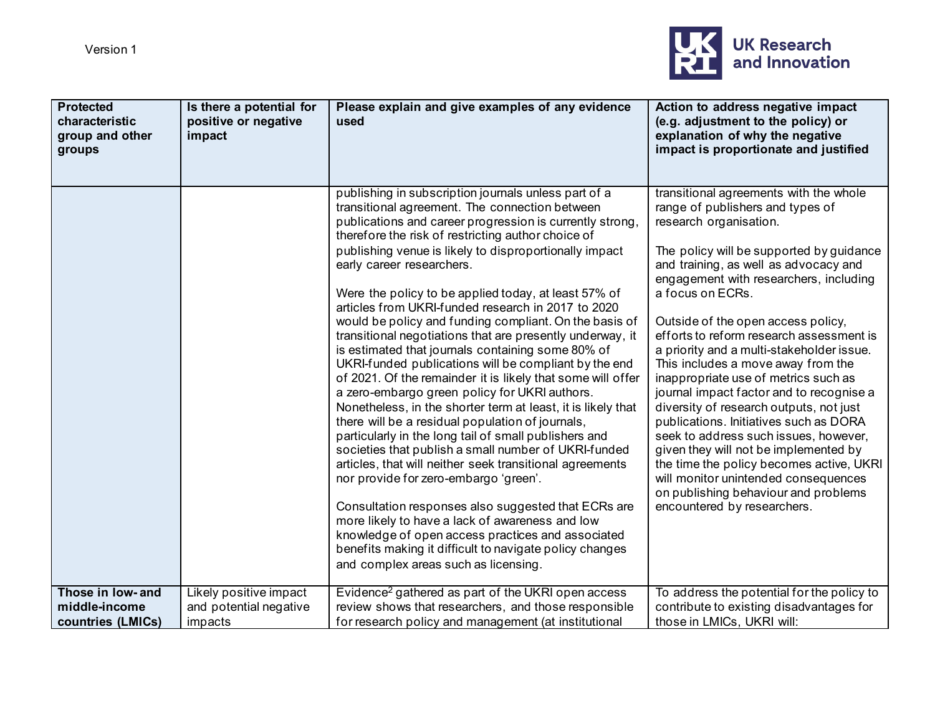

| <b>Protected</b><br>characteristic<br>group and other<br>groups | Is there a potential for<br>positive or negative<br>impact  | Please explain and give examples of any evidence<br>used                                                                                                                                                                                                                                                                                                                                                                                                                                                                                                                                                                                                                                                                                                                                                                                                                                                                                                                                                                                                                                                                                                                                                                                                                                                                                                                                       | Action to address negative impact<br>(e.g. adjustment to the policy) or<br>explanation of why the negative<br>impact is proportionate and justified                                                                                                                                                                                                                                                                                                                                                                                                                                                                                                                                                                                                                                                                                                |
|-----------------------------------------------------------------|-------------------------------------------------------------|------------------------------------------------------------------------------------------------------------------------------------------------------------------------------------------------------------------------------------------------------------------------------------------------------------------------------------------------------------------------------------------------------------------------------------------------------------------------------------------------------------------------------------------------------------------------------------------------------------------------------------------------------------------------------------------------------------------------------------------------------------------------------------------------------------------------------------------------------------------------------------------------------------------------------------------------------------------------------------------------------------------------------------------------------------------------------------------------------------------------------------------------------------------------------------------------------------------------------------------------------------------------------------------------------------------------------------------------------------------------------------------------|----------------------------------------------------------------------------------------------------------------------------------------------------------------------------------------------------------------------------------------------------------------------------------------------------------------------------------------------------------------------------------------------------------------------------------------------------------------------------------------------------------------------------------------------------------------------------------------------------------------------------------------------------------------------------------------------------------------------------------------------------------------------------------------------------------------------------------------------------|
|                                                                 |                                                             | publishing in subscription journals unless part of a<br>transitional agreement. The connection between<br>publications and career progression is currently strong,<br>therefore the risk of restricting author choice of<br>publishing venue is likely to disproportionally impact<br>early career researchers.<br>Were the policy to be applied today, at least 57% of<br>articles from UKRI-funded research in 2017 to 2020<br>would be policy and funding compliant. On the basis of<br>transitional negotiations that are presently underway, it<br>is estimated that journals containing some 80% of<br>UKRI-funded publications will be compliant by the end<br>of 2021. Of the remainder it is likely that some will offer<br>a zero-embargo green policy for UKRI authors.<br>Nonetheless, in the shorter term at least, it is likely that<br>there will be a residual population of journals,<br>particularly in the long tail of small publishers and<br>societies that publish a small number of UKRI-funded<br>articles, that will neither seek transitional agreements<br>nor provide for zero-embargo 'green'.<br>Consultation responses also suggested that ECRs are<br>more likely to have a lack of awareness and low<br>knowledge of open access practices and associated<br>benefits making it difficult to navigate policy changes<br>and complex areas such as licensing. | transitional agreements with the whole<br>range of publishers and types of<br>research organisation.<br>The policy will be supported by guidance<br>and training, as well as advocacy and<br>engagement with researchers, including<br>a focus on ECRs.<br>Outside of the open access policy,<br>efforts to reform research assessment is<br>a priority and a multi-stakeholder issue.<br>This includes a move away from the<br>inappropriate use of metrics such as<br>journal impact factor and to recognise a<br>diversity of research outputs, not just<br>publications. Initiatives such as DORA<br>seek to address such issues, however,<br>given they will not be implemented by<br>the time the policy becomes active, UKRI<br>will monitor unintended consequences<br>on publishing behaviour and problems<br>encountered by researchers. |
| Those in low- and<br>middle-income<br>countries (LMICs)         | Likely positive impact<br>and potential negative<br>impacts | Evidence <sup>2</sup> gathered as part of the UKRI open access<br>review shows that researchers, and those responsible<br>for research policy and management (at institutional                                                                                                                                                                                                                                                                                                                                                                                                                                                                                                                                                                                                                                                                                                                                                                                                                                                                                                                                                                                                                                                                                                                                                                                                                 | To address the potential for the policy to<br>contribute to existing disadvantages for<br>those in LMICs, UKRI will:                                                                                                                                                                                                                                                                                                                                                                                                                                                                                                                                                                                                                                                                                                                               |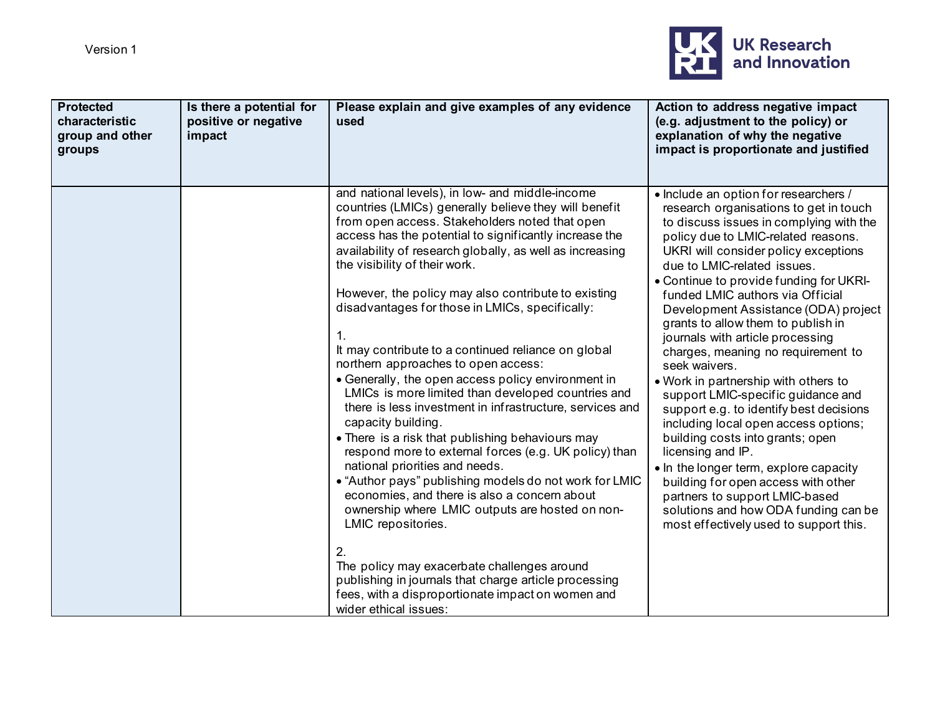

| <b>Protected</b><br>characteristic<br>group and other<br>groups | Is there a potential for<br>positive or negative<br>impact | Please explain and give examples of any evidence<br>used                                                                                                                                                                                                                                                                                                                                                                                                                                                                                                                                                                                                                                                                                                                                                                                                                                                                                                                                                                                                                                                                                                                                                                                                    | Action to address negative impact<br>(e.g. adjustment to the policy) or<br>explanation of why the negative<br>impact is proportionate and justified                                                                                                                                                                                                                                                                                                                                                                                                                                                                                                                                                                                                                                                                                                                                                                             |
|-----------------------------------------------------------------|------------------------------------------------------------|-------------------------------------------------------------------------------------------------------------------------------------------------------------------------------------------------------------------------------------------------------------------------------------------------------------------------------------------------------------------------------------------------------------------------------------------------------------------------------------------------------------------------------------------------------------------------------------------------------------------------------------------------------------------------------------------------------------------------------------------------------------------------------------------------------------------------------------------------------------------------------------------------------------------------------------------------------------------------------------------------------------------------------------------------------------------------------------------------------------------------------------------------------------------------------------------------------------------------------------------------------------|---------------------------------------------------------------------------------------------------------------------------------------------------------------------------------------------------------------------------------------------------------------------------------------------------------------------------------------------------------------------------------------------------------------------------------------------------------------------------------------------------------------------------------------------------------------------------------------------------------------------------------------------------------------------------------------------------------------------------------------------------------------------------------------------------------------------------------------------------------------------------------------------------------------------------------|
|                                                                 |                                                            | and national levels), in low- and middle-income<br>countries (LMICs) generally believe they will benefit<br>from open access. Stakeholders noted that open<br>access has the potential to significantly increase the<br>availability of research globally, as well as increasing<br>the visibility of their work.<br>However, the policy may also contribute to existing<br>disadvantages for those in LMICs, specifically:<br>1.<br>It may contribute to a continued reliance on global<br>northern approaches to open access:<br>• Generally, the open access policy environment in<br>LMICs is more limited than developed countries and<br>there is less investment in infrastructure, services and<br>capacity building.<br>• There is a risk that publishing behaviours may<br>respond more to external forces (e.g. UK policy) than<br>national priorities and needs.<br>• "Author pays" publishing models do not work for LMIC<br>economies, and there is also a concern about<br>ownership where LMIC outputs are hosted on non-<br>LMIC repositories.<br>2.<br>The policy may exacerbate challenges around<br>publishing in journals that charge article processing<br>fees, with a disproportionate impact on women and<br>wider ethical issues: | • Include an option for researchers /<br>research organisations to get in touch<br>to discuss issues in complying with the<br>policy due to LMIC-related reasons.<br>UKRI will consider policy exceptions<br>due to LMIC-related issues.<br>• Continue to provide funding for UKRI-<br>funded LMIC authors via Official<br>Development Assistance (ODA) project<br>grants to allow them to publish in<br>journals with article processing<br>charges, meaning no requirement to<br>seek waivers.<br>. Work in partnership with others to<br>support LMIC-specific guidance and<br>support e.g. to identify best decisions<br>including local open access options;<br>building costs into grants; open<br>licensing and IP.<br>. In the longer term, explore capacity<br>building for open access with other<br>partners to support LMIC-based<br>solutions and how ODA funding can be<br>most effectively used to support this. |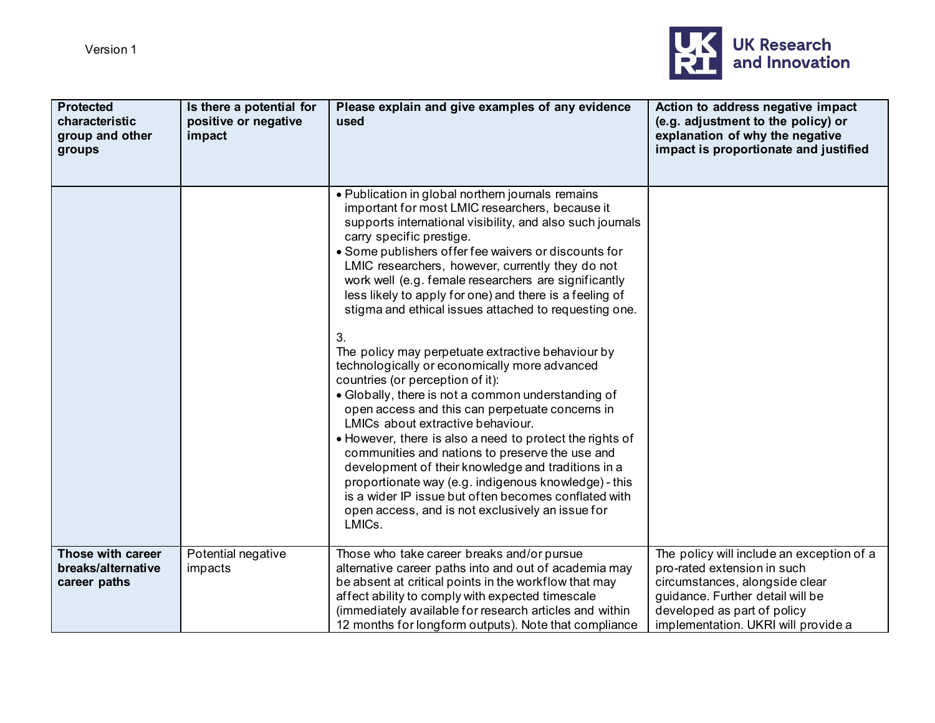

| <b>Protected</b><br>characteristic<br>group and other<br>groups | Is there a potential for<br>positive or negative<br>impact | Please explain and give examples of any evidence<br>used                                                                                                                                                                                                                                                                                                                                                                                                                                                                                                                                                                                                                                                                                                                                                                                                                                                                                                                                                                                                                                                                               | Action to address negative impact<br>(e.g. adjustment to the policy) or<br>explanation of why the negative<br>impact is proportionate and justified                                                                  |
|-----------------------------------------------------------------|------------------------------------------------------------|----------------------------------------------------------------------------------------------------------------------------------------------------------------------------------------------------------------------------------------------------------------------------------------------------------------------------------------------------------------------------------------------------------------------------------------------------------------------------------------------------------------------------------------------------------------------------------------------------------------------------------------------------------------------------------------------------------------------------------------------------------------------------------------------------------------------------------------------------------------------------------------------------------------------------------------------------------------------------------------------------------------------------------------------------------------------------------------------------------------------------------------|----------------------------------------------------------------------------------------------------------------------------------------------------------------------------------------------------------------------|
|                                                                 |                                                            | • Publication in global northern journals remains<br>important for most LMIC researchers, because it<br>supports international visibility, and also such journals<br>carry specific prestige.<br>• Some publishers offer fee waivers or discounts for<br>LMIC researchers, however, currently they do not<br>work well (e.g. female researchers are significantly<br>less likely to apply for one) and there is a feeling of<br>stigma and ethical issues attached to requesting one.<br>3.<br>The policy may perpetuate extractive behaviour by<br>technologically or economically more advanced<br>countries (or perception of it):<br>• Globally, there is not a common understanding of<br>open access and this can perpetuate concerns in<br>LMICs about extractive behaviour.<br>• However, there is also a need to protect the rights of<br>communities and nations to preserve the use and<br>development of their knowledge and traditions in a<br>proportionate way (e.g. indigenous knowledge) - this<br>is a wider IP issue but often becomes conflated with<br>open access, and is not exclusively an issue for<br>LMICs. |                                                                                                                                                                                                                      |
| Those with career<br>breaks/alternative<br>career paths         | Potential negative<br>impacts                              | Those who take career breaks and/or pursue<br>alternative career paths into and out of academia may<br>be absent at critical points in the workflow that may<br>affect ability to comply with expected timescale<br>(immediately available for research articles and within<br>12 months for longform outputs). Note that compliance                                                                                                                                                                                                                                                                                                                                                                                                                                                                                                                                                                                                                                                                                                                                                                                                   | The policy will include an exception of a<br>pro-rated extension in such<br>circumstances, alongside clear<br>guidance. Further detail will be<br>developed as part of policy<br>implementation. UKRI will provide a |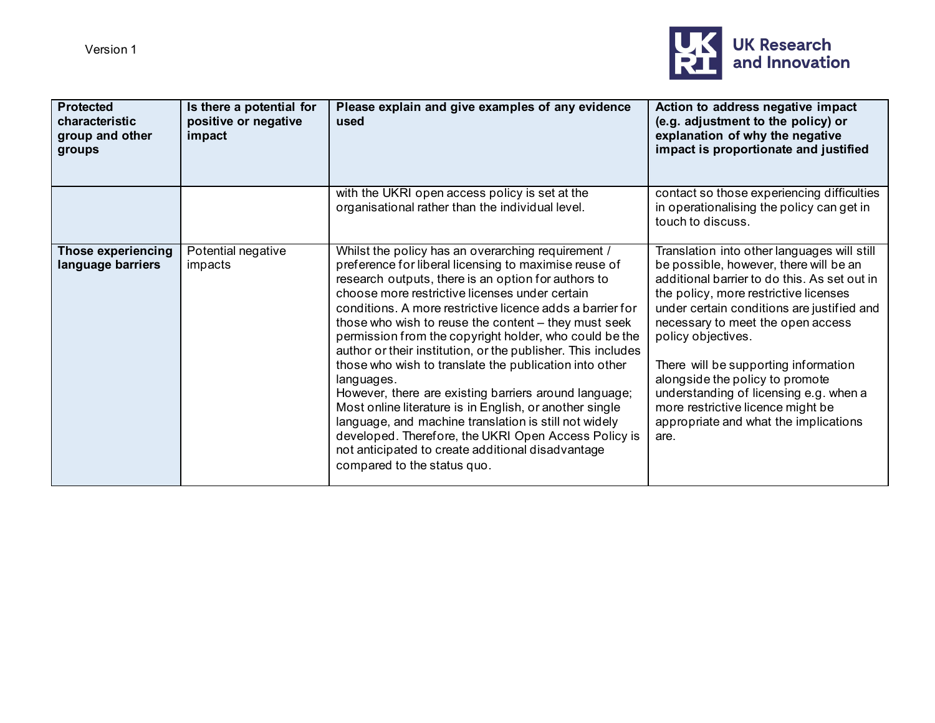

| <b>Protected</b><br>characteristic<br>group and other<br>groups | Is there a potential for<br>positive or negative<br>impact | Please explain and give examples of any evidence<br>used                                                                                                                                                                                                                                                                                                                                                                                                                                                                                                                                                                                                                                                                                                                                                                                                             | Action to address negative impact<br>(e.g. adjustment to the policy) or<br>explanation of why the negative<br>impact is proportionate and justified                                                                                                                                                                                                                                                                                                                                                |
|-----------------------------------------------------------------|------------------------------------------------------------|----------------------------------------------------------------------------------------------------------------------------------------------------------------------------------------------------------------------------------------------------------------------------------------------------------------------------------------------------------------------------------------------------------------------------------------------------------------------------------------------------------------------------------------------------------------------------------------------------------------------------------------------------------------------------------------------------------------------------------------------------------------------------------------------------------------------------------------------------------------------|----------------------------------------------------------------------------------------------------------------------------------------------------------------------------------------------------------------------------------------------------------------------------------------------------------------------------------------------------------------------------------------------------------------------------------------------------------------------------------------------------|
|                                                                 |                                                            | with the UKRI open access policy is set at the<br>organisational rather than the individual level.                                                                                                                                                                                                                                                                                                                                                                                                                                                                                                                                                                                                                                                                                                                                                                   | contact so those experiencing difficulties<br>in operationalising the policy can get in<br>touch to discuss.                                                                                                                                                                                                                                                                                                                                                                                       |
| <b>Those experiencing</b><br>language barriers                  | Potential negative<br>impacts                              | Whilst the policy has an overarching requirement /<br>preference for liberal licensing to maximise reuse of<br>research outputs, there is an option for authors to<br>choose more restrictive licenses under certain<br>conditions. A more restrictive licence adds a barrier for<br>those who wish to reuse the content - they must seek<br>permission from the copyright holder, who could be the<br>author or their institution, or the publisher. This includes<br>those who wish to translate the publication into other<br>languages.<br>However, there are existing barriers around language;<br>Most online literature is in English, or another single<br>language, and machine translation is still not widely<br>developed. Therefore, the UKRI Open Access Policy is<br>not anticipated to create additional disadvantage<br>compared to the status quo. | Translation into other languages will still<br>be possible, however, there will be an<br>additional barrier to do this. As set out in<br>the policy, more restrictive licenses<br>under certain conditions are justified and<br>necessary to meet the open access<br>policy objectives.<br>There will be supporting information<br>alongside the policy to promote<br>understanding of licensing e.g. when a<br>more restrictive licence might be<br>appropriate and what the implications<br>are. |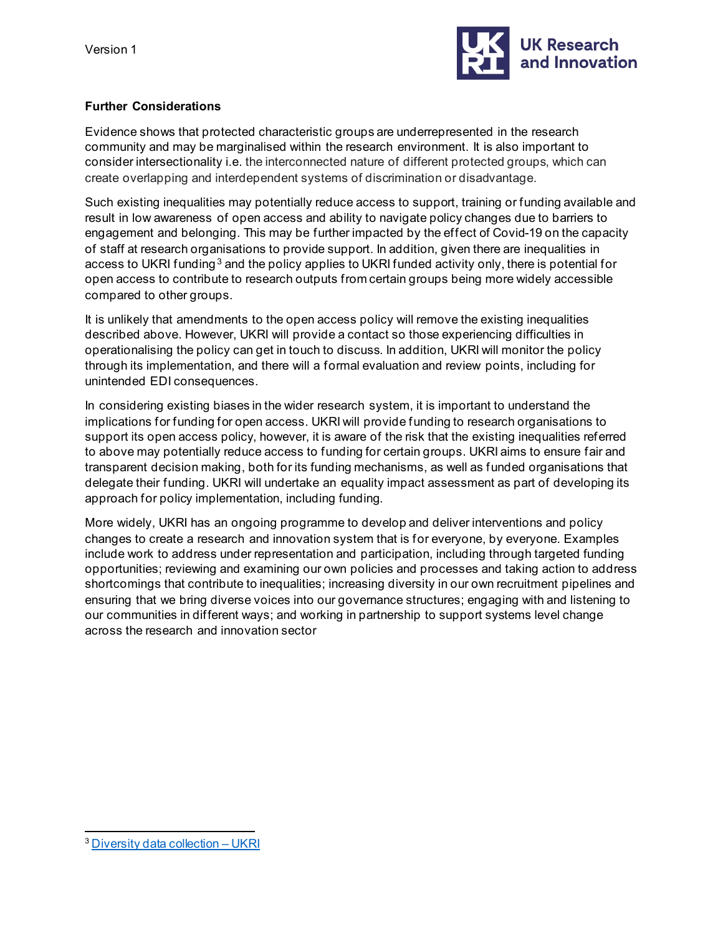

## **Further Considerations**

Evidence shows that protected characteristic groups are underrepresented in the research community and may be marginalised within the research environment. It is also important to consider intersectionality i.e. the interconnected nature of different protected groups, which can create overlapping and interdependent systems of discrimination or disadvantage.

Such existing inequalities may potentially reduce access to support, training or funding available and result in low awareness of open access and ability to navigate policy changes due to barriers to engagement and belonging. This may be further impacted by the effect of Covid-19 on the capacity of staff at research organisations to provide support. In addition, given there are inequalities in access to UKRI funding<sup>[3](#page-13-0)</sup> and the policy applies to UKRI funded activity only, there is potential for open access to contribute to research outputs from certain groups being more widely accessible compared to other groups.

It is unlikely that amendments to the open access policy will remove the existing inequalities described above. However, UKRI will provide a contact so those experiencing difficulties in operationalising the policy can get in touch to discuss. In addition, UKRI will monitor the policy through its implementation, and there will a formal evaluation and review points, including for unintended EDI consequences.

In considering existing biases in the wider research system, it is important to understand the implications for funding for open access. UKRI will provide funding to research organisations to support its open access policy, however, it is aware of the risk that the existing inequalities referred to above may potentially reduce access to funding for certain groups. UKRI aims to ensure fair and transparent decision making, both for its funding mechanisms, as well as funded organisations that delegate their funding. UKRI will undertake an equality impact assessment as part of developing its approach for policy implementation, including funding.

More widely, UKRI has an ongoing programme to develop and deliver interventions and policy changes to create a research and innovation system that is for everyone, by everyone. Examples include work to address under representation and participation, including through targeted funding opportunities; reviewing and examining our own policies and processes and taking action to address shortcomings that contribute to inequalities; increasing diversity in our own recruitment pipelines and ensuring that we bring diverse voices into our governance structures; engaging with and listening to our communities in different ways; and working in partnership to support systems level change across the research and innovation sector

<span id="page-13-0"></span><sup>&</sup>lt;sup>3</sup> [Diversity data collection –](https://www.ukri.org/our-work/supporting-healthy-research-and-innovation-culture/equality-diversity-and-inclusion/diversity-data/) UKRI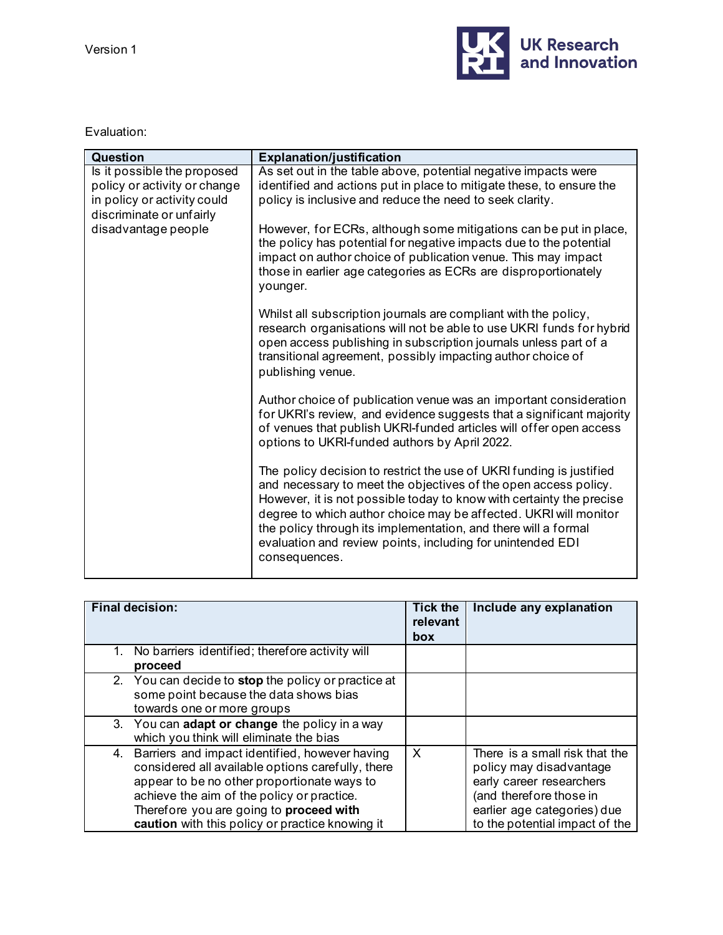

Evaluation:

| Question                                                                                                               | <b>Explanation/justification</b>                                                                                                                                                                                                                                                                                                                                                                                                     |
|------------------------------------------------------------------------------------------------------------------------|--------------------------------------------------------------------------------------------------------------------------------------------------------------------------------------------------------------------------------------------------------------------------------------------------------------------------------------------------------------------------------------------------------------------------------------|
| Is it possible the proposed<br>policy or activity or change<br>in policy or activity could<br>discriminate or unfairly | As set out in the table above, potential negative impacts were<br>identified and actions put in place to mitigate these, to ensure the<br>policy is inclusive and reduce the need to seek clarity.                                                                                                                                                                                                                                   |
| disadvantage people                                                                                                    | However, for ECRs, although some mitigations can be put in place,<br>the policy has potential for negative impacts due to the potential<br>impact on author choice of publication venue. This may impact<br>those in earlier age categories as ECRs are disproportionately<br>younger.                                                                                                                                               |
|                                                                                                                        | Whilst all subscription journals are compliant with the policy,<br>research organisations will not be able to use UKRI funds for hybrid<br>open access publishing in subscription journals unless part of a<br>transitional agreement, possibly impacting author choice of<br>publishing venue.                                                                                                                                      |
|                                                                                                                        | Author choice of publication venue was an important consideration<br>for UKRI's review, and evidence suggests that a significant majority<br>of venues that publish UKRI-funded articles will offer open access<br>options to UKRI-funded authors by April 2022.                                                                                                                                                                     |
|                                                                                                                        | The policy decision to restrict the use of UKRI funding is justified<br>and necessary to meet the objectives of the open access policy.<br>However, it is not possible today to know with certainty the precise<br>degree to which author choice may be affected. UKRI will monitor<br>the policy through its implementation, and there will a formal<br>evaluation and review points, including for unintended EDI<br>consequences. |

| <b>Final decision:</b>                                                                                                                                                                                                                                                                            | <b>Tick the</b><br>relevant<br>box | Include any explanation                                                                                                                                                           |
|---------------------------------------------------------------------------------------------------------------------------------------------------------------------------------------------------------------------------------------------------------------------------------------------------|------------------------------------|-----------------------------------------------------------------------------------------------------------------------------------------------------------------------------------|
| 1. No barriers identified; therefore activity will<br>proceed                                                                                                                                                                                                                                     |                                    |                                                                                                                                                                                   |
| 2. You can decide to stop the policy or practice at<br>some point because the data shows bias<br>towards one or more groups                                                                                                                                                                       |                                    |                                                                                                                                                                                   |
| 3. You can adapt or change the policy in a way<br>which you think will eliminate the bias                                                                                                                                                                                                         |                                    |                                                                                                                                                                                   |
| 4. Barriers and impact identified, however having<br>considered all available options carefully, there<br>appear to be no other proportionate ways to<br>achieve the aim of the policy or practice.<br>Therefore you are going to proceed with<br>caution with this policy or practice knowing it | $\times$                           | There is a small risk that the<br>policy may disadvantage<br>early career researchers<br>(and therefore those in<br>earlier age categories) due<br>to the potential impact of the |